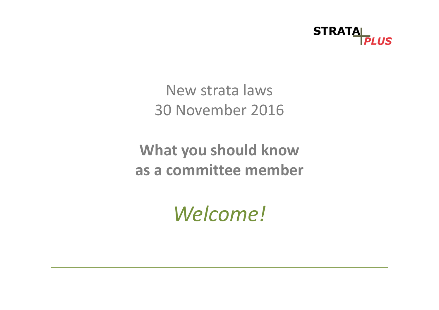

New strata laws30 November 2016

What you should know as a committee member

Welcome!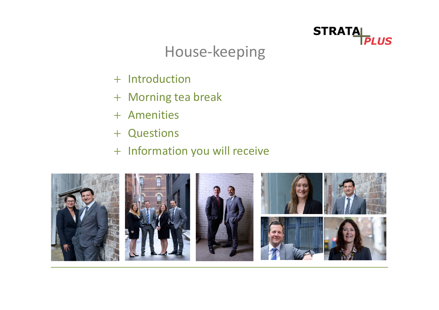

### House-keeping

- + Introduction
- + Morning tea break
- + Amenities
- + Questions

## + Information you will receive

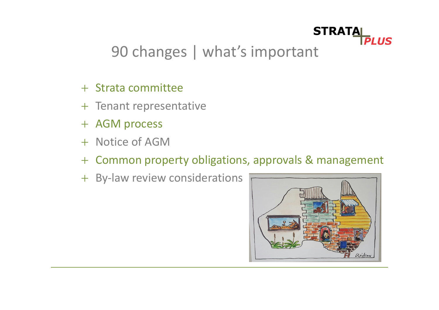

## 90 changes | what's important

- + Strata committee
- + Tenant representative
- + AGM process
- + Notice of AGM
- + Common property obligations, approvals & management
- + By-law review considerations

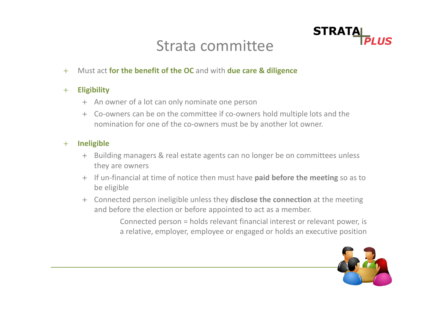

### Strata committee

 $+$ Must act for the benefit of the OC and with due care & diligence

#### $+$ **Eligibility**

- + An owner of a lot can only nominate one person
- + Co-owners can be on the committee if co-owners hold multiple lots and the nomination for one of the co-owners must be by another lot owner.

#### $+$ Ineligible

- + Building managers & real estate agents can no longer be on committees unless they are owners
- + If un-financial at time of notice then must have paid before the meeting so as to be eligible
- + Connected person ineligible unless they **disclose the connection** at the meeting and before the election or before appointed to act as a member.

Connected person = holds relevant financial interest or relevant power, is a relative, employer, employee or engaged or holds an executive position

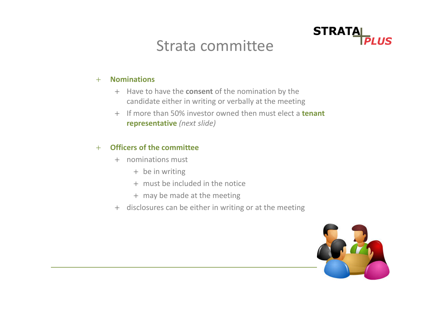### Strata committee



#### $+$ Nominations

- + Have to have the consent of the nomination by the candidate either in writing or verbally at the meeting
- + If more than 50% investor owned then must elect a **tenant** representative (next slide)

#### $+$ Officers of the committee

- + nominations must
	- + be in writing
	- + must be included in the notice
	- + may be made at the meeting
- + disclosures can be either in writing or at the meeting

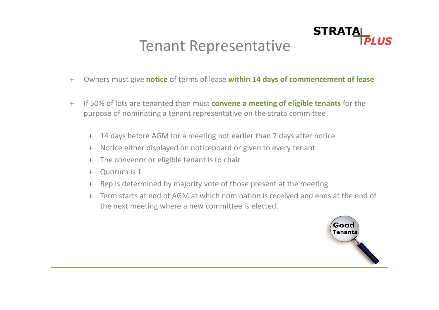# Tenant Representative



- $+$ Owners must give notice of terms of lease within 14 days of commencement of lease
- $+$ If 50% of lots are tenanted then must **convene a meeting of eligible tenants** for the purpose of nominating a tenant representative on the strata committee
	- + 14 days before AGM for a meeting not earlier than 7 days after notice
	- + Notice either displayed on noticeboard or given to every tenant
	- + The convenor or eligible tenant is to chair
	- + Quorum is 1
	- + Rep is determined by majority vote of those present at the meeting
	- + Term starts at end of AGM at which nomination is received and ends at the end of the next meeting where a new committee is elected.

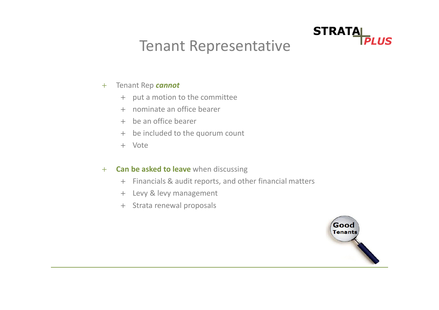## Tenant Representative

#### $+$ Tenant Rep cannot

- + put a motion to the committee
- + nominate an office bearer
- + be an office bearer
- + be included to the quorum count
- + Vote

#### $+$ Can be asked to leave when discussing

- + Financials & audit reports, and other financial matters
- + Levy & levy management
- + Strata renewal proposals



**STRATAL** 

**PLUS**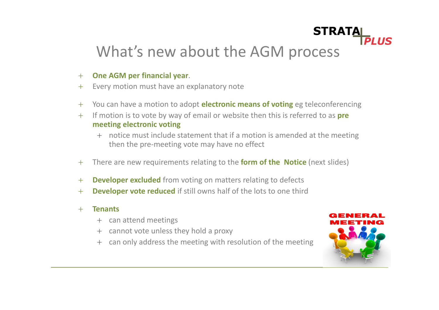### **STRATAI** What's new about the AGM process

- $+$ One AGM per financial year.
- $+$ Every motion must have an explanatory note
- $+$ You can have a motion to adopt **electronic means of voting** eg teleconferencing
- $+$ If motion is to vote by way of email or website then this is referred to as **pre** meeting electronic voting
	- + notice must include statement that if a motion is amended at the meeting then the pre-meeting vote may have no effect
- $+$ There are new requirements relating to the **form of the Notice** (next slides)
- $+$ **Developer excluded** from voting on matters relating to defects
- $+$ Developer vote reduced if still owns half of the lots to one third
- $+$ **Tenants** 
	- + can attend meetings
	- + cannot vote unless they hold a proxy
	- + can only address the meeting with resolution of the meeting



**DI IIS**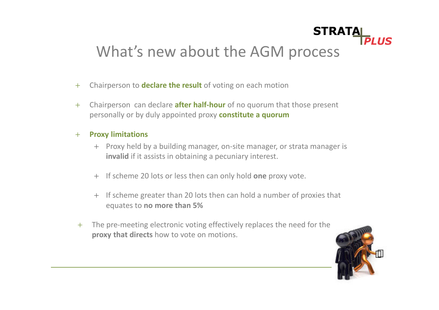### **STRATAI** What's new about the AGM process

- $+$ Chairperson to **declare the result** of voting on each motion
- $+$ Chairperson can declare **after half-hour** of no quorum that those present personally or by duly appointed proxy constitute a quorum

#### $+$ Proxy limitations

- + Proxy held by a building manager, on-site manager, or strata manager is invalid if it assists in obtaining a pecuniary interest.
- + If scheme 20 lots or less then can only hold one proxy vote.
- + If scheme greater than 20 lots then can hold a number of proxies that equates to no more than 5%
- + The pre-meeting electronic voting effectively replaces the need for the proxy that directs how to vote on motions.

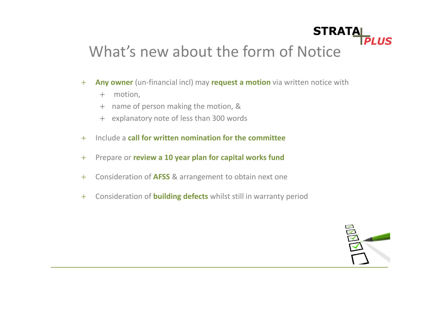#### **STRATAL PI IIS** What's new about the form of Notice

- $+$ Any owner (un-financial incl) may request a motion via written notice with
	- + motion,
	- + name of person making the motion, &
	- + explanatory note of less than 300 words
- $+$ Include a call for written nomination for the committee
- $+$ Prepare or review a 10 year plan for capital works fund
- $+$ Consideration of AFSS & arrangement to obtain next one
- $+$ Consideration of building defects whilst still in warranty period

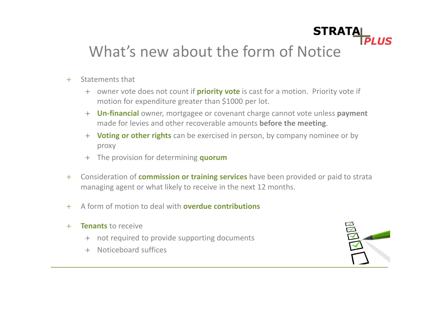#### **STRATAL DI IIS** What's new about the form of Notice

- $+$  Statements that
	- + owner vote does not count if **priority vote** is cast for a motion. Priority vote if motion for expenditure greater than \$1000 per lot.
	- + **Un-financial** owner, mortgagee or covenant charge cannot vote unless **payment** made for levies and other recoverable amounts before the meeting.
	- + Voting or other rights can be exercised in person, by company nominee or by proxy
	- + The provision for determining **quorum**
- $+$ Consideration of **commission or training services** have been provided or paid to strata managing agent or what likely to receive in the next 12 months.
- $+$ A form of motion to deal with **overdue contributions**
- $+$ Tenants to receive
	- + not required to provide supporting documents
	- + Noticeboard suffices

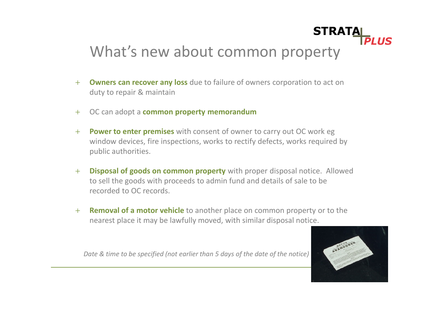## **STRATA** What's new about common property

- + **Owners can recover any loss** due to failure of owners corporation to act on duty to repair & maintain
- $+$ OC can adopt a **common property memorandum**
- + **Power to enter premises** with consent of owner to carry out OC work eg window devices, fire inspections, works to rectify defects, works required by public authorities.
- + **Disposal of goods on common property** with proper disposal notice. Allowed to sell the goods with proceeds to admin fund and details of sale to be recorded to OC records.
- $+$ **Removal of a motor vehicle** to another place on common property or to the nearest place it may be lawfully moved, with similar disposal notice.



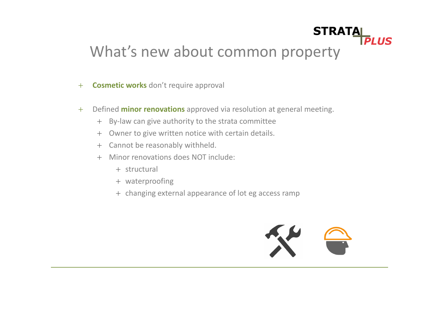#### **STRATAI** *DI 11* What's new about common property

- $+$ **Cosmetic works** don't require approval
- $+$ Defined **minor renovations** approved via resolution at general meeting.
	- + By-law can give authority to the strata committee
	- $+$ Owner to give written notice with certain details.
	- + Cannot be reasonably withheld.
	- + Minor renovations does NOT include:
		- + structural
		- + waterproofing
		- + changing external appearance of lot eg access ramp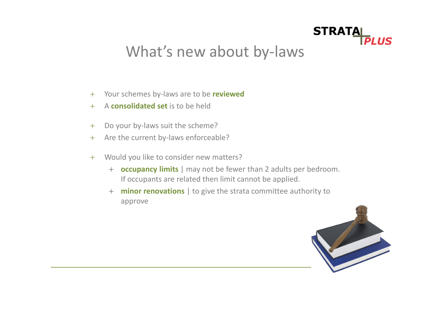#### **STRATAI PI IIS**

### What's new about by-laws

- $+$ Your schemes by-laws are to be reviewed
- $+$ <sup>A</sup>consolidated set is to be held
- $+$ Do your by-laws suit the scheme?
- $+$ Are the current by-laws enforceable?
- $+$  Would you like to consider new matters?
	- + **occupancy limits** | may not be fewer than 2 adults per bedroom. If occupants are related then limit cannot be applied.
	- + **minor renovations** | to give the strata committee authority to approve

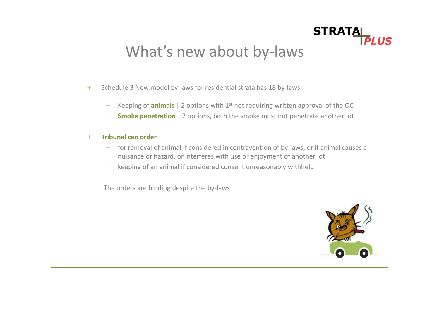

- $+$  Schedule 3 New model by-laws for residential strata has 18 by-laws
	- $+$ Keeping of **animals** | 2 options with  $1<sup>st</sup>$  not requiring written approval of the OC
	- $+$ **Smoke penetration** | 2 options, both the smoke must not penetrate another lot

#### $+$ Tribunal can order

- + for removal of animal if considered in contravention of by-laws, or if animal causes a nuisance or hazard, or interferes with use or enjoyment of another lot
- + keeping of an animal if considered consent unreasonably withheld

The orders are binding despite the by-laws



**PLUS**